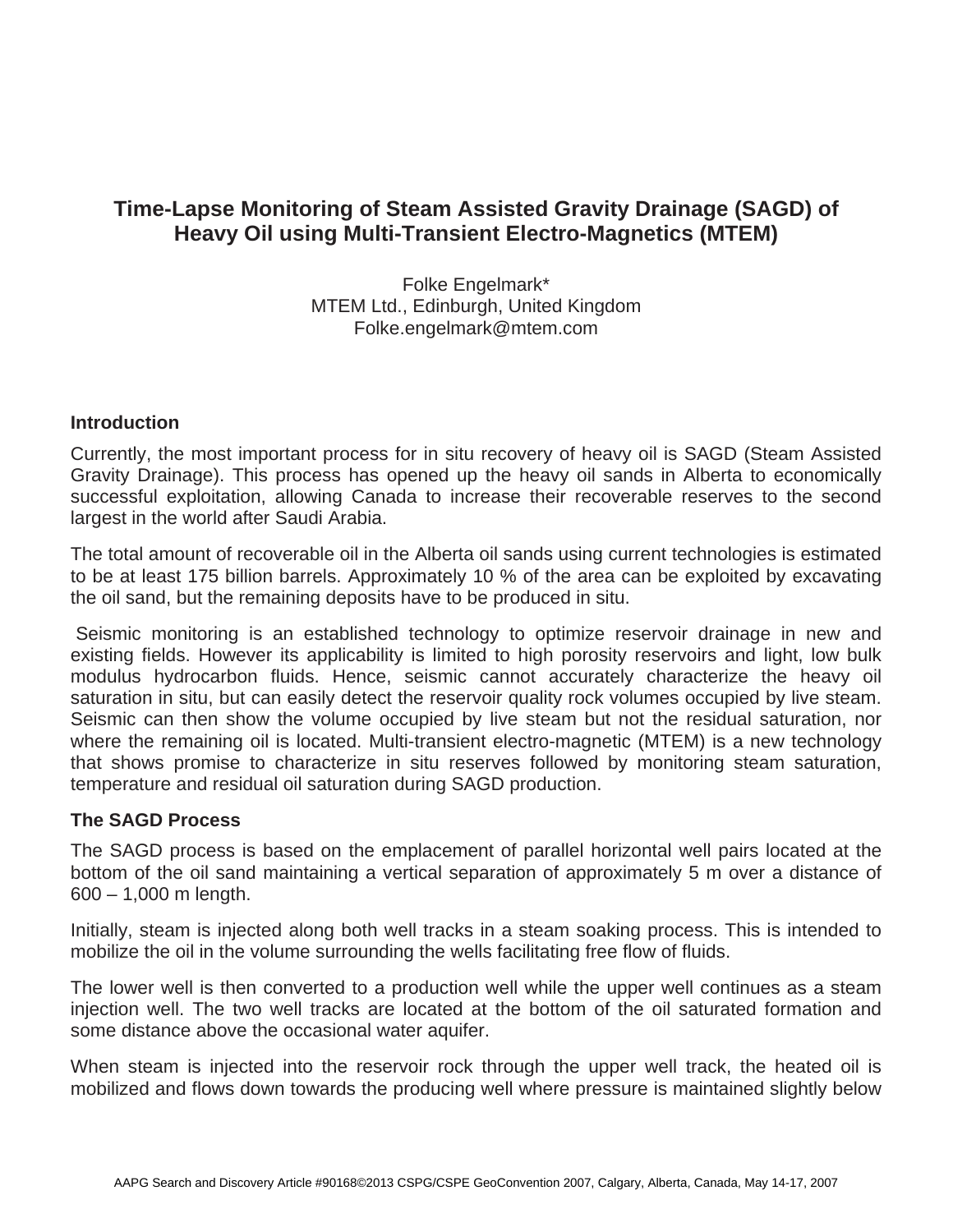# **Time-Lapse Monitoring of Steam Assisted Gravity Drainage (SAGD) of Heavy Oil using Multi-Transient Electro-Magnetics (MTEM)**

Folke Engelmark\* MTEM Ltd., Edinburgh, United Kingdom Folke.engelmark@mtem.com

### **Introduction**

Currently, the most important process for in situ recovery of heavy oil is SAGD (Steam Assisted Gravity Drainage). This process has opened up the heavy oil sands in Alberta to economically successful exploitation, allowing Canada to increase their recoverable reserves to the second largest in the world after Saudi Arabia.

The total amount of recoverable oil in the Alberta oil sands using current technologies is estimated to be at least 175 billion barrels. Approximately 10 % of the area can be exploited by excavating the oil sand, but the remaining deposits have to be produced in situ.

 Seismic monitoring is an established technology to optimize reservoir drainage in new and existing fields. However its applicability is limited to high porosity reservoirs and light, low bulk modulus hydrocarbon fluids. Hence, seismic cannot accurately characterize the heavy oil saturation in situ, but can easily detect the reservoir quality rock volumes occupied by live steam. Seismic can then show the volume occupied by live steam but not the residual saturation, nor where the remaining oil is located. Multi-transient electro-magnetic (MTEM) is a new technology that shows promise to characterize in situ reserves followed by monitoring steam saturation, temperature and residual oil saturation during SAGD production.

### **The SAGD Process**

The SAGD process is based on the emplacement of parallel horizontal well pairs located at the bottom of the oil sand maintaining a vertical separation of approximately 5 m over a distance of 600 – 1,000 m length.

Initially, steam is injected along both well tracks in a steam soaking process. This is intended to mobilize the oil in the volume surrounding the wells facilitating free flow of fluids.

The lower well is then converted to a production well while the upper well continues as a steam injection well. The two well tracks are located at the bottom of the oil saturated formation and some distance above the occasional water aquifer.

When steam is injected into the reservoir rock through the upper well track, the heated oil is mobilized and flows down towards the producing well where pressure is maintained slightly below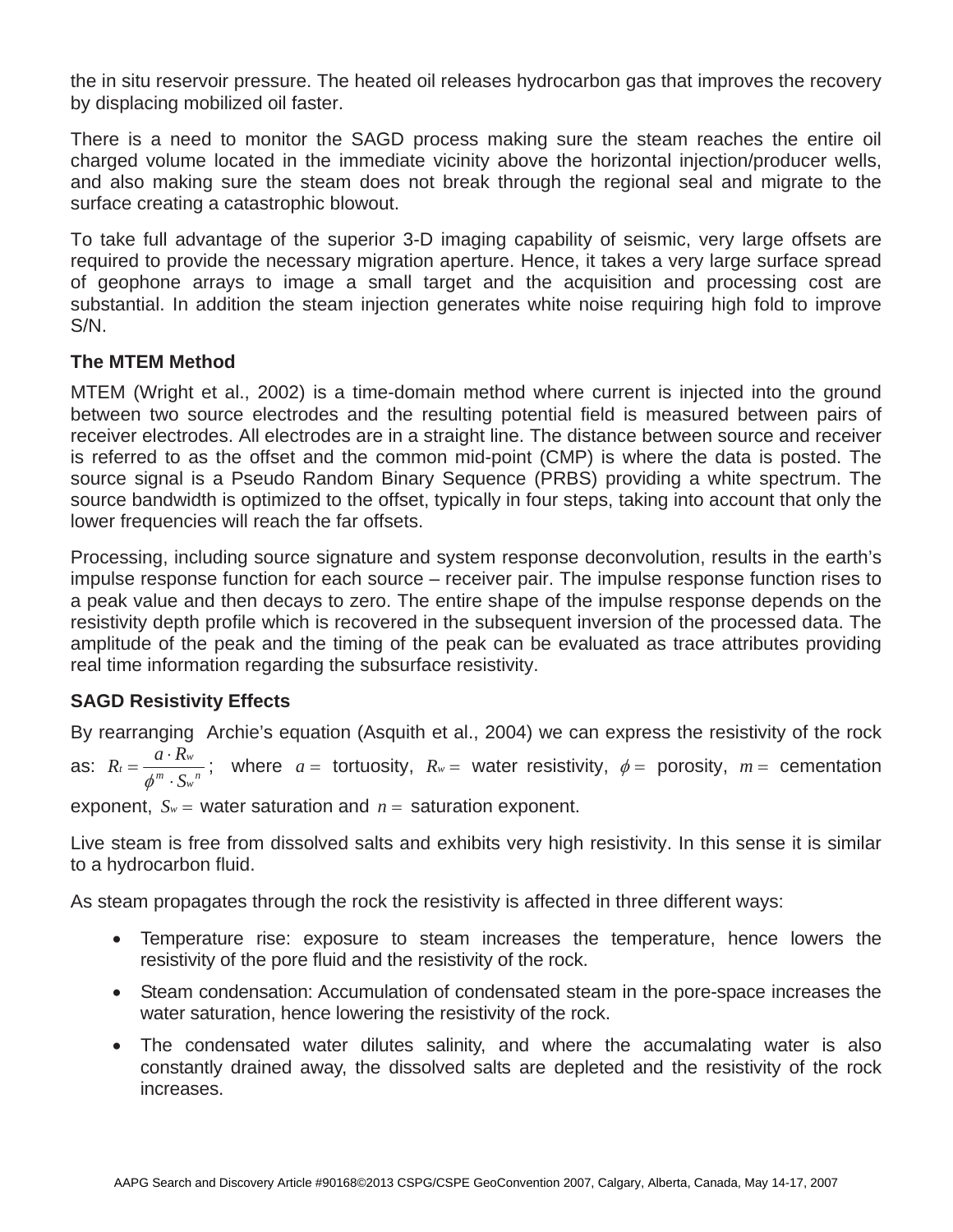the in situ reservoir pressure. The heated oil releases hydrocarbon gas that improves the recovery by displacing mobilized oil faster.

There is a need to monitor the SAGD process making sure the steam reaches the entire oil charged volume located in the immediate vicinity above the horizontal injection/producer wells, and also making sure the steam does not break through the regional seal and migrate to the surface creating a catastrophic blowout.

To take full advantage of the superior 3-D imaging capability of seismic, very large offsets are required to provide the necessary migration aperture. Hence, it takes a very large surface spread of geophone arrays to image a small target and the acquisition and processing cost are substantial. In addition the steam injection generates white noise requiring high fold to improve S/N.

# **The MTEM Method**

MTEM (Wright et al., 2002) is a time-domain method where current is injected into the ground between two source electrodes and the resulting potential field is measured between pairs of receiver electrodes. All electrodes are in a straight line. The distance between source and receiver is referred to as the offset and the common mid-point (CMP) is where the data is posted. The source signal is a Pseudo Random Binary Sequence (PRBS) providing a white spectrum. The source bandwidth is optimized to the offset, typically in four steps, taking into account that only the lower frequencies will reach the far offsets.

Processing, including source signature and system response deconvolution, results in the earth's impulse response function for each source – receiver pair. The impulse response function rises to a peak value and then decays to zero. The entire shape of the impulse response depends on the resistivity depth profile which is recovered in the subsequent inversion of the processed data. The amplitude of the peak and the timing of the peak can be evaluated as trace attributes providing real time information regarding the subsurface resistivity.

# **SAGD Resistivity Effects**

By rearranging Archie's equation (Asquith et al., 2004) we can express the resistivity of the rock as:  $R_t = \frac{a \cdot R_w}{\phi^m \cdot S_w}$ ; where  $a =$  tortuosity,  $R_w =$  water resistivity,  $\phi =$  porosity,  $m =$  cementation

exponent,  $S_w$  = water saturation and  $n =$  saturation exponent.

Live steam is free from dissolved salts and exhibits very high resistivity. In this sense it is similar to a hydrocarbon fluid.

As steam propagates through the rock the resistivity is affected in three different ways:

- Temperature rise: exposure to steam increases the temperature, hence lowers the resistivity of the pore fluid and the resistivity of the rock.
- Steam condensation: Accumulation of condensated steam in the pore-space increases the water saturation, hence lowering the resistivity of the rock.
- The condensated water dilutes salinity, and where the accumalating water is also constantly drained away, the dissolved salts are depleted and the resistivity of the rock increases.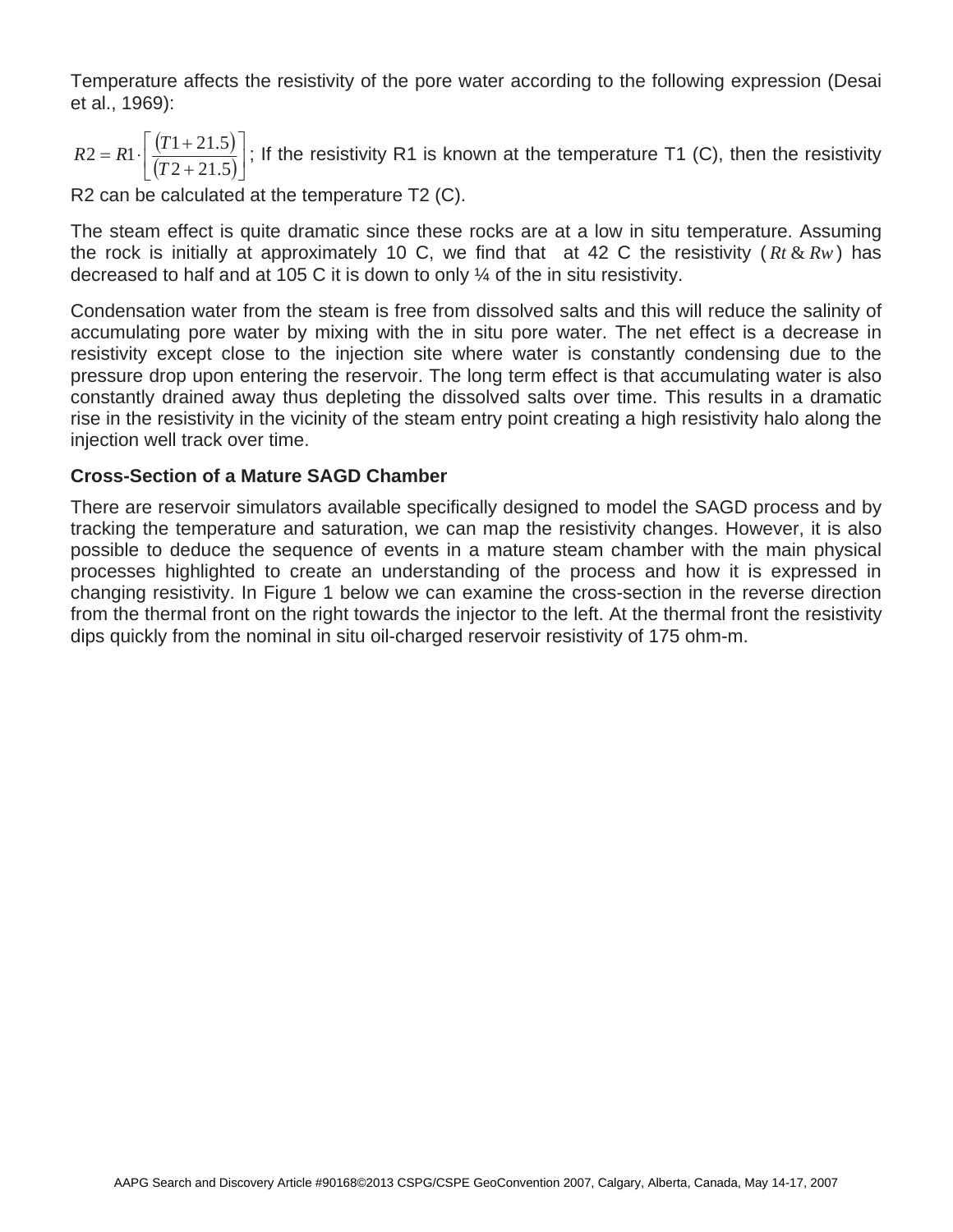Temperature affects the resistivity of the pore water according to the following expression (Desai et al., 1969):

 $(T1 + 21.5)$  $\frac{(11+21.5)}{(T2+21.5)}$ 1  $\frac{(1.1 + 21.6)}{(1.0 + 0.15)}$  $\mathsf{L}$ Г  $\overline{+}$  $= R1 \cdot \left[ \frac{(T1 +$  $2 + 21.5$  $2 = R1 \cdot \frac{(T1 + 21.5)}{(T2 - 21.5)}$ *T*  $R2 = R1 \cdot \left| \frac{(T1 + 21.5)}{(T2 - 21.5)} \right|$ ; If the resistivity R1 is known at the temperature T1 (C), then the resistivity

R2 can be calculated at the temperature T2 (C).

The steam effect is quite dramatic since these rocks are at a low in situ temperature. Assuming the rock is initially at approximately 10 C, we find that at 42 C the resistivity ( $R_t \& R_w$ ) has decreased to half and at 105 C it is down to only ¼ of the in situ resistivity.

Condensation water from the steam is free from dissolved salts and this will reduce the salinity of accumulating pore water by mixing with the in situ pore water. The net effect is a decrease in resistivity except close to the injection site where water is constantly condensing due to the pressure drop upon entering the reservoir. The long term effect is that accumulating water is also constantly drained away thus depleting the dissolved salts over time. This results in a dramatic rise in the resistivity in the vicinity of the steam entry point creating a high resistivity halo along the injection well track over time.

# **Cross-Section of a Mature SAGD Chamber**

There are reservoir simulators available specifically designed to model the SAGD process and by tracking the temperature and saturation, we can map the resistivity changes. However, it is also possible to deduce the sequence of events in a mature steam chamber with the main physical processes highlighted to create an understanding of the process and how it is expressed in changing resistivity. In Figure 1 below we can examine the cross-section in the reverse direction from the thermal front on the right towards the injector to the left. At the thermal front the resistivity dips quickly from the nominal in situ oil-charged reservoir resistivity of 175 ohm-m.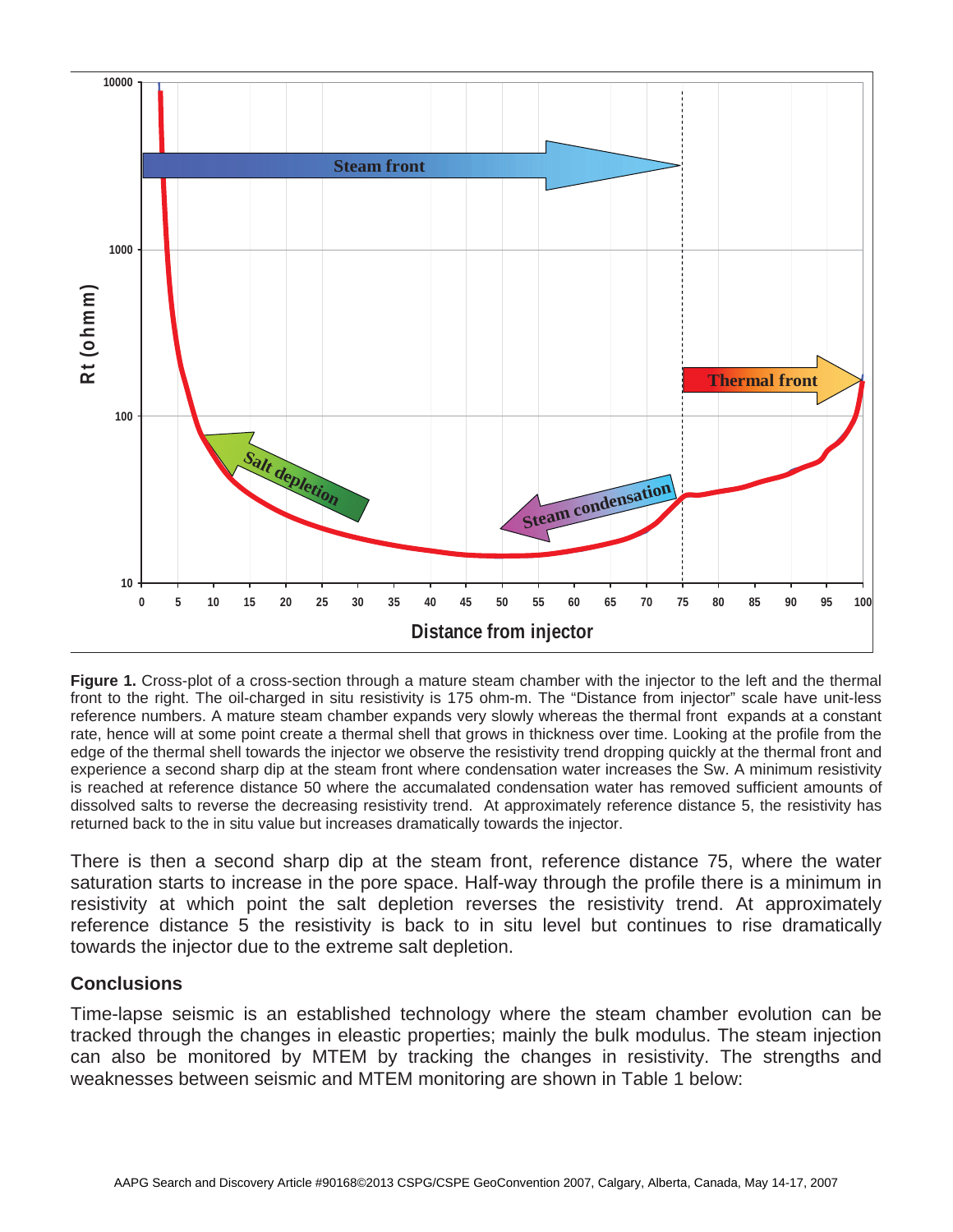

**Figure 1.** Cross-plot of a cross-section through a mature steam chamber with the injector to the left and the thermal front to the right. The oil-charged in situ resistivity is 175 ohm-m. The "Distance from injector" scale have unit-less reference numbers. A mature steam chamber expands very slowly whereas the thermal front expands at a constant rate, hence will at some point create a thermal shell that grows in thickness over time. Looking at the profile from the edge of the thermal shell towards the injector we observe the resistivity trend dropping quickly at the thermal front and experience a second sharp dip at the steam front where condensation water increases the Sw. A minimum resistivity is reached at reference distance 50 where the accumalated condensation water has removed sufficient amounts of dissolved salts to reverse the decreasing resistivity trend. At approximately reference distance 5, the resistivity has returned back to the in situ value but increases dramatically towards the injector.

There is then a second sharp dip at the steam front, reference distance 75, where the water saturation starts to increase in the pore space. Half-way through the profile there is a minimum in resistivity at which point the salt depletion reverses the resistivity trend. At approximately reference distance 5 the resistivity is back to in situ level but continues to rise dramatically towards the injector due to the extreme salt depletion.

### **Conclusions**

Time-lapse seismic is an established technology where the steam chamber evolution can be tracked through the changes in eleastic properties; mainly the bulk modulus. The steam injection can also be monitored by MTEM by tracking the changes in resistivity. The strengths and weaknesses between seismic and MTEM monitoring are shown in Table 1 below: